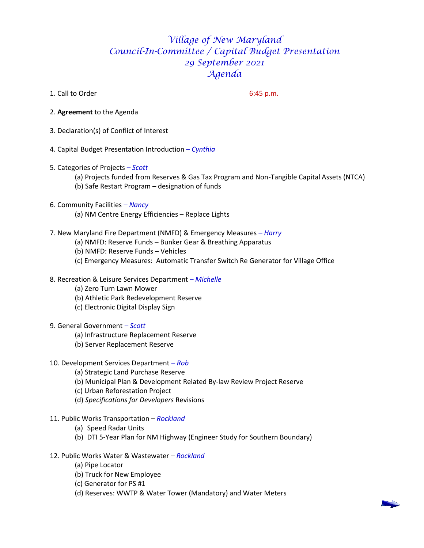## *Village of New Maryland Council-In-Committee / Capital Budget Presentation 29 September 2021 Agenda*

1. Call to Order 6:45 p.m.

- 2. **Agreement** to the Agenda
- 3. Declaration(s) of Conflict of Interest
- 4. Capital Budget Presentation Introduction *– Cynthia*
- 5. Categories of Projects *– Scott*
	- (a) Projects funded from Reserves & Gas Tax Program and Non-Tangible Capital Assets (NTCA) (b) Safe Restart Program – designation of funds
- 6. Community Facilities *– Nancy*
	- (a) NM Centre Energy Efficiencies Replace Lights
- 7. New Maryland Fire Department (NMFD) & Emergency Measures *– Harry*
	- (a) NMFD: Reserve Funds Bunker Gear & Breathing Apparatus
	- (b) NMFD: Reserve Funds Vehicles
	- (c) Emergency Measures: Automatic Transfer Switch Re Generator for Village Office
- 8*.* Recreation & Leisure Services Department *– Michelle*
	- (a) Zero Turn Lawn Mower
	- (b) Athletic Park Redevelopment Reserve
	- (c) Electronic Digital Display Sign
- 9. General Government *– Scott*
	- (a) Infrastructure Replacement Reserve
	- (b) Server Replacement Reserve
- 10. Development Services Department *– Rob*
	- (a) Strategic Land Purchase Reserve
	- (b) Municipal Plan & Development Related By-law Review Project Reserve
	- (c) Urban Reforestation Project
	- (d) *Specifications for Developers* Revisions
- 11. Public Works Transportation *Rockland*
	- (a) Speed Radar Units
	- (b) DTI 5-Year Plan for NM Highway (Engineer Study for Southern Boundary)

## 12. Public Works Water & Wastewater – *Rockland*

- (a) Pipe Locator
- (b) Truck for New Employee
- (c) Generator for PS #1
- (d) Reserves: WWTP & Water Tower (Mandatory) and Water Meters